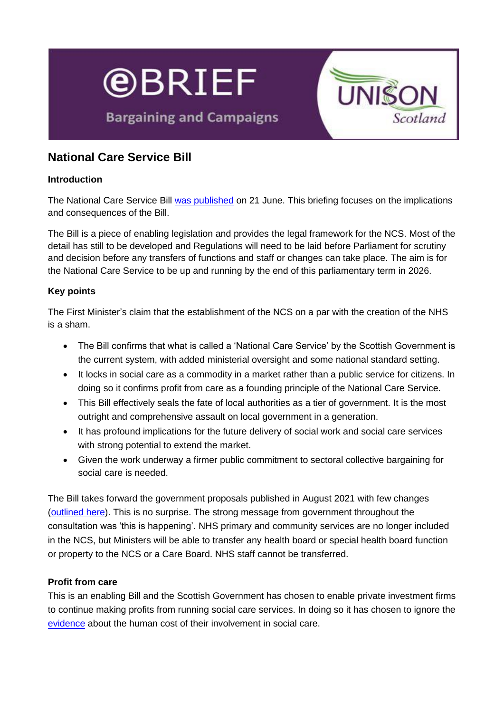

**Bargaining and Campaigns** 



# **National Care Service Bill**

### **Introduction**

The National Care Service Bill [was published](https://www.gov.scot/news/national-care-service-bill-published/) on 21 June. This briefing focuses on the implications and consequences of the Bill.

The Bill is a piece of enabling legislation and provides the legal framework for the NCS. Most of the detail has still to be developed and Regulations will need to be laid before Parliament for scrutiny and decision before any transfers of functions and staff or changes can take place. The aim is for the National Care Service to be up and running by the end of this parliamentary term in 2026.

#### **Key points**

The First Minister's claim that the establishment of the NCS on a par with the creation of the NHS is a sham.

- The Bill confirms that what is called a 'National Care Service' by the Scottish Government is the current system, with added ministerial oversight and some national standard setting.
- It locks in social care as a commodity in a market rather than a public service for citizens. In doing so it confirms profit from care as a founding principle of the National Care Service.
- This Bill effectively seals the fate of local authorities as a tier of government. It is the most outright and comprehensive assault on local government in a generation.
- It has profound implications for the future delivery of social work and social care services with strong potential to extend the market.
- Given the work underway a firmer public commitment to sectoral collective bargaining for social care is needed.

The Bill takes forward the government proposals published in August 2021 with few changes [\(outlined here\)](https://unison-scotland.org/e-brief-national-care-service-consultation/). This is no surprise. The strong message from government throughout the consultation was 'this is happening'. NHS primary and community services are no longer included in the NCS, but Ministers will be able to transfer any health board or special health board function or property to the NCS or a Care Board. NHS staff cannot be transferred.

# **Profit from care**

This is an enabling Bill and the Scottish Government has chosen to enable private investment firms to continue making profits from running social care services. In doing so it has chosen to ignore the [evidence](https://www.google.com/url?sa=t&rct=j&q=&esrc=s&source=web&cd=&ved=2ahUKEwjUntboncH4AhXNUMAKHU4nDyAQFnoECAgQAQ&url=https%3A%2F%2Funison-scotland.org%2Fwp-content%2Fuploads%2FUNISON-CUSP-report-final.pdf&usg=AOvVaw3dIqK0xtfGr6qUJ4ZP50CD) about the human cost of their involvement in social care.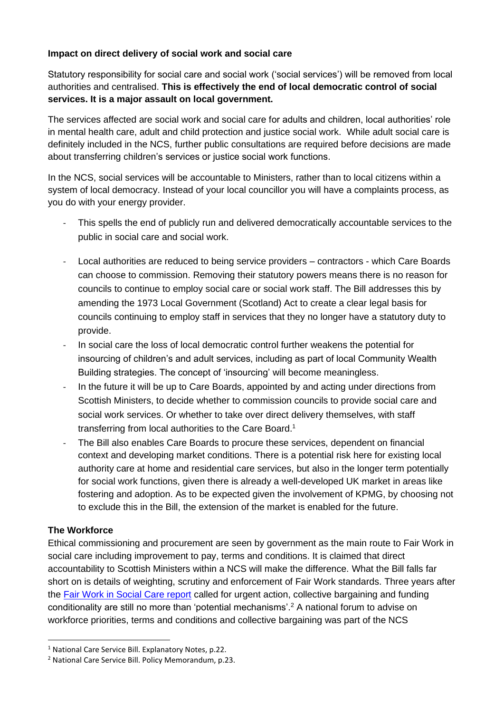### **Impact on direct delivery of social work and social care**

Statutory responsibility for social care and social work ('social services') will be removed from local authorities and centralised. **This is effectively the end of local democratic control of social services. It is a major assault on local government.** 

The services affected are social work and social care for adults and children, local authorities' role in mental health care, adult and child protection and justice social work. While adult social care is definitely included in the NCS, further public consultations are required before decisions are made about transferring children's services or justice social work functions.

In the NCS, social services will be accountable to Ministers, rather than to local citizens within a system of local democracy. Instead of your local councillor you will have a complaints process, as you do with your energy provider.

- This spells the end of publicly run and delivered democratically accountable services to the public in social care and social work.
- Local authorities are reduced to being service providers contractors which Care Boards can choose to commission. Removing their statutory powers means there is no reason for councils to continue to employ social care or social work staff. The Bill addresses this by amending the 1973 Local Government (Scotland) Act to create a clear legal basis for councils continuing to employ staff in services that they no longer have a statutory duty to provide.
- In social care the loss of local democratic control further weakens the potential for insourcing of children's and adult services, including as part of local Community Wealth Building strategies. The concept of 'insourcing' will become meaningless.
- In the future it will be up to Care Boards, appointed by and acting under directions from Scottish Ministers, to decide whether to commission councils to provide social care and social work services. Or whether to take over direct delivery themselves, with staff transferring from local authorities to the Care Board.<sup>1</sup>
- The Bill also enables Care Boards to procure these services, dependent on financial context and developing market conditions. There is a potential risk here for existing local authority care at home and residential care services, but also in the longer term potentially for social work functions, given there is already a well-developed UK market in areas like fostering and adoption. As to be expected given the involvement of KPMG, by choosing not to exclude this in the Bill, the extension of the market is enabled for the future.

# **The Workforce**

Ethical commissioning and procurement are seen by government as the main route to Fair Work in social care including improvement to pay, terms and conditions. It is claimed that direct accountability to Scottish Ministers within a NCS will make the difference. What the Bill falls far short on is details of weighting, scrutiny and enforcement of Fair Work standards. Three years after the [Fair Work in Social Care report](https://www.fairworkconvention.scot/our-report-on-fair-work-in-social-care/) called for urgent action, collective bargaining and funding conditionality are still no more than 'potential mechanisms'.<sup>2</sup> A national forum to advise on workforce priorities, terms and conditions and collective bargaining was part of the NCS

<sup>&</sup>lt;sup>1</sup> National Care Service Bill. Explanatory Notes, p.22.

<sup>2</sup> National Care Service Bill. Policy Memorandum, p.23.